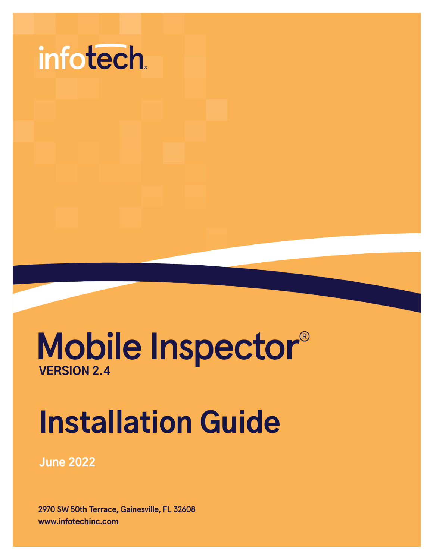

## Mobile Inspector® **VERSION 2.4**

# **Installation Guide**

**June 2022** 

2970 SW 50th Terrace, Gainesville, FL 32608 www.infotechinc.com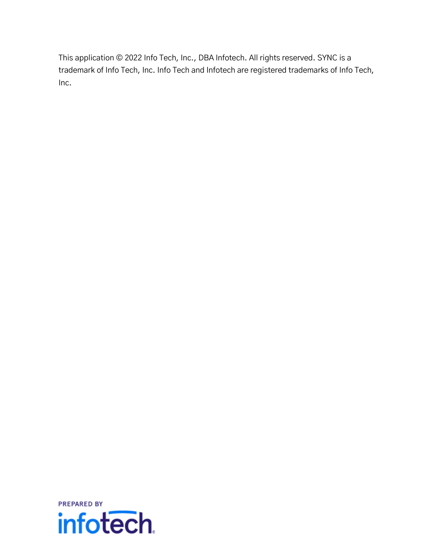This application © 2022 Info Tech, Inc., DBA Infotech. All rights reserved. SYNC is a trademark of Info Tech, Inc. Info Tech and Infotech are registered trademarks of Info Tech, Inc.

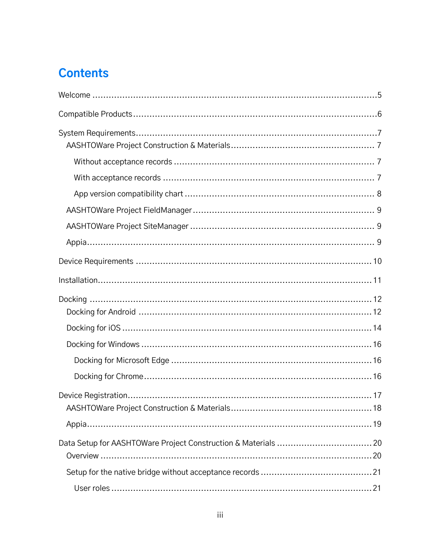### **Contents**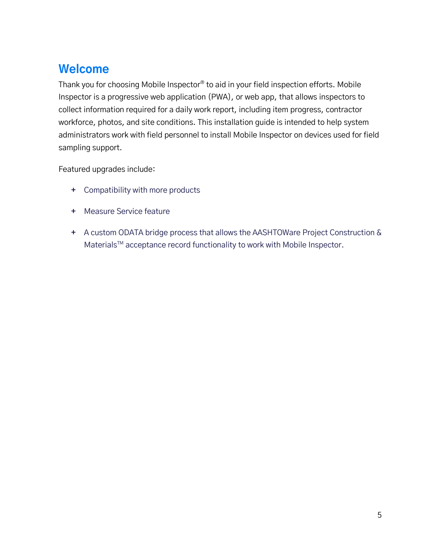### <span id="page-4-0"></span>**Welcome**

Thank you for choosing Mobile Inspector® to aid in your field inspection efforts. Mobile Inspector is a progressive web application (PWA), or web app, that allows inspectors to collect information required for a daily work report, including item progress, contractor workforce, photos, and site conditions. This installation guide is intended to help system administrators work with field personnel to install Mobile Inspector on devices used for field sampling support.

Featured upgrades include:

- **+** Compatibility with more products
- **+** Measure Service feature
- **+** A custom ODATA bridge process that allows the AASHTOWare Project Construction & Materials™ acceptance record functionality to work with Mobile Inspector.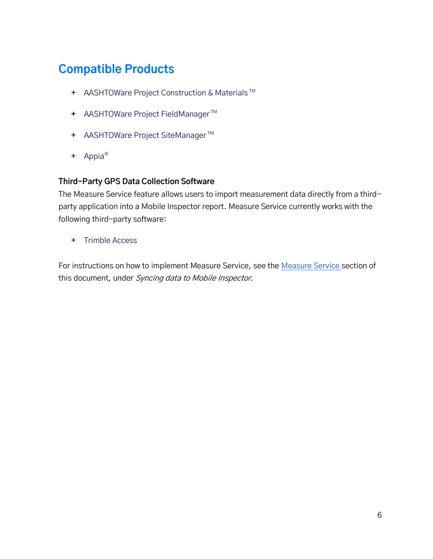### <span id="page-5-0"></span>**Compatible Products**

- **+** AASHTOWare Project Construction & Materials TM
- **+** AASHTOWare Project FieldManager TM
- **+** AASHTOWare Project SiteManager TM
- **+** Appia®

#### **Third-Party GPS Data Collection Software**

The Measure Service feature allows users to import measurement data directly from a thirdparty application into a Mobile Inspector report. Measure Service currently works with the following third-party software:

**+** Trimble Access

For instructions on how to implement Measure Service, see the [Measure Service](#page-33-1) section of this document, under Syncing data to Mobile Inspector.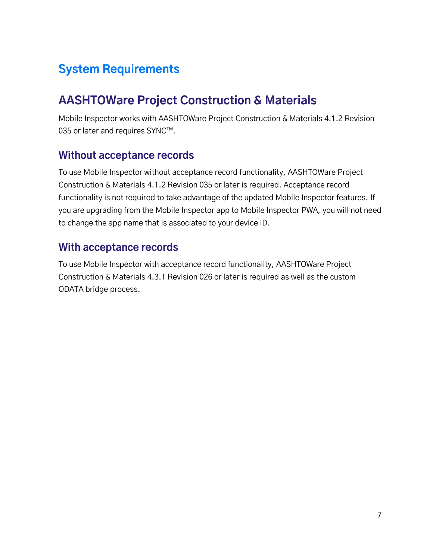### <span id="page-6-0"></span>**System Requirements**

### <span id="page-6-1"></span>**AASHTOWare Project Construction & Materials**

Mobile Inspector works with AASHTOWare Project Construction & Materials 4.1.2 Revision 035 or later and requires SYNC $^{TM}$ .

#### <span id="page-6-2"></span>**Without acceptance records**

To use Mobile Inspector without acceptance record functionality, AASHTOWare Project Construction & Materials 4.1.2 Revision 035 or later is required. Acceptance record functionality is not required to take advantage of the updated Mobile Inspector features. If you are upgrading from the Mobile Inspector app to Mobile Inspector PWA, you will not need to change the app name that is associated to your device ID.

#### <span id="page-6-3"></span>**With acceptance records**

To use Mobile Inspector with acceptance record functionality, AASHTOWare Project Construction & Materials 4.3.1 Revision 026 or later is required as well as the custom ODATA bridge process.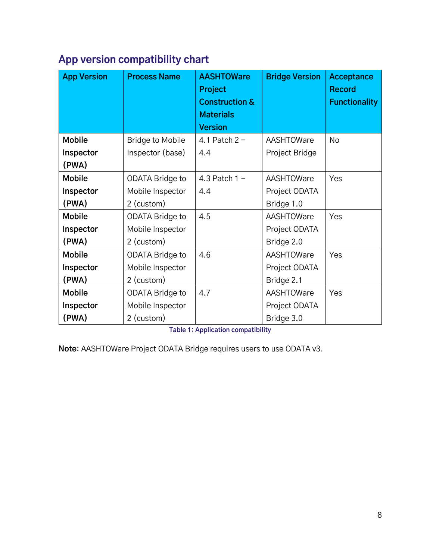### <span id="page-7-0"></span>**App version compatibility chart**

| <b>App Version</b> | <b>Process Name</b>     | <b>AASHTOWare</b><br>Project<br><b>Construction &amp;</b><br><b>Materials</b><br><b>Version</b> | <b>Bridge Version</b> | <b>Acceptance</b><br><b>Record</b><br><b>Functionality</b> |
|--------------------|-------------------------|-------------------------------------------------------------------------------------------------|-----------------------|------------------------------------------------------------|
| <b>Mobile</b>      | <b>Bridge to Mobile</b> | 4.1 Patch $2 -$                                                                                 | AASHTOWare            | <b>No</b>                                                  |
| Inspector          | Inspector (base)        | 4.4                                                                                             | Project Bridge        |                                                            |
| (PWA)              |                         |                                                                                                 |                       |                                                            |
| <b>Mobile</b>      | <b>ODATA Bridge to</b>  | 4.3 Patch $1 -$                                                                                 | AASHTOWare            | Yes                                                        |
| Inspector          | Mobile Inspector        | 4.4                                                                                             | Project ODATA         |                                                            |
| (PWA)              | 2 (custom)              |                                                                                                 | Bridge 1.0            |                                                            |
| <b>Mobile</b>      | ODATA Bridge to         | 4.5                                                                                             | AASHTOWare            | Yes                                                        |
| Inspector          | Mobile Inspector        |                                                                                                 | Project ODATA         |                                                            |
| (PWA)              | 2 (custom)              |                                                                                                 | Bridge 2.0            |                                                            |
| <b>Mobile</b>      | <b>ODATA Bridge to</b>  | 4.6                                                                                             | AASHTOWare            | Yes                                                        |
| Inspector          | Mobile Inspector        |                                                                                                 | Project ODATA         |                                                            |
| (PWA)              | 2 (custom)              |                                                                                                 | Bridge 2.1            |                                                            |
| <b>Mobile</b>      | ODATA Bridge to         | 4.7                                                                                             | AASHTOWare            | Yes                                                        |
| Inspector          | Mobile Inspector        |                                                                                                 | Project ODATA         |                                                            |
| (PWA)              | 2 (custom)              |                                                                                                 | Bridge 3.0            |                                                            |

**Table 1: Application compatibility**

**Note**: AASHTOWare Project ODATA Bridge requires users to use ODATA v3.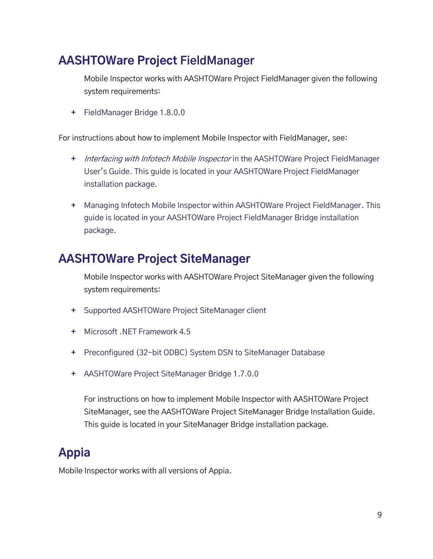### <span id="page-8-0"></span>**AASHTOWare Project FieldManager**

Mobile Inspector works with AASHTOWare Project FieldManager given the following system requirements:

**+** FieldManager Bridge 1.8.0.0

For instructions about how to implement Mobile Inspector with FieldManager, see:

- **+** Interfacing with Infotech Mobile Inspector in the AASHTOWare Project FieldManager User's Guide. This guide is located in your AASHTOWare Project FieldManager installation package.
- **+** Managing Infotech Mobile Inspector within AASHTOWare Project FieldManager. This guide is located in your AASHTOWare Project FieldManager Bridge installation package.

### <span id="page-8-1"></span>**AASHTOWare Project SiteManager**

Mobile Inspector works with AASHTOWare Project SiteManager given the following system requirements:

- **+** Supported AASHTOWare Project SiteManager client
- **+** Microsoft .NET Framework 4.5
- **+** Preconfigured (32-bit ODBC) System DSN to SiteManager Database
- **+** AASHTOWare Project SiteManager Bridge 1.7.0.0

For instructions on how to implement Mobile Inspector with AASHTOWare Project SiteManager, see the AASHTOWare Project SiteManager Bridge Installation Guide. This guide is located in your SiteManager Bridge installation package.

### <span id="page-8-2"></span>**Appia**

Mobile Inspector works with all versions of Appia.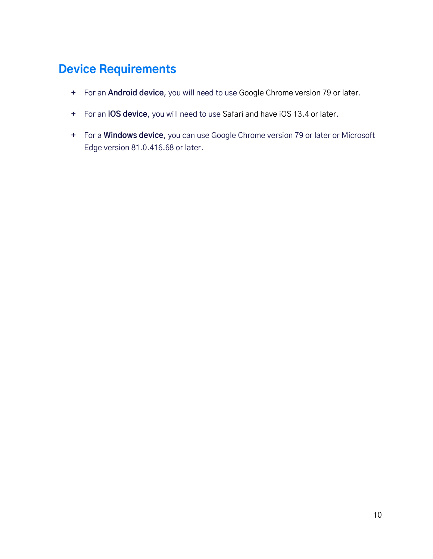### <span id="page-9-0"></span>**Device Requirements**

- **+** For an **Android device**, you will need to use Google Chrome version 79 or later.
- **+** For an **iOS device**, you will need to use Safari and have iOS 13.4 or later.
- **+** For a **Windows device**, you can use Google Chrome version 79 or later or Microsoft Edge version 81.0.416.68 or later.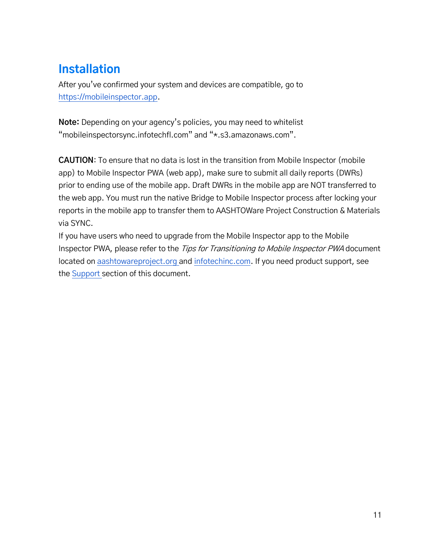### <span id="page-10-0"></span>**Installation**

After you've confirmed your system and devices are compatible, go to [https://mobileinspector.app.](https://mobileinspector.app/)

**Note:** Depending on your agency's policies, you may need to whitelist "mobileinspectorsync.infotechfl.com" and "\*.s3.amazonaws.com".

**CAUTION**: To ensure that no data is lost in the transition from Mobile Inspector (mobile app) to Mobile Inspector PWA (web app), make sure to submit all daily reports (DWRs) prior to ending use of the mobile app. Draft DWRs in the mobile app are NOT transferred to the web app. You must run the native Bridge to Mobile Inspector process after locking your reports in the mobile app to transfer them to AASHTOWare Project Construction & Materials via SYNC.

If you have users who need to upgrade from the Mobile Inspector app to the Mobile Inspector PWA, please refer to the Tips for Transitioning to Mobile Inspector PWA document located on [aashtowareproject.org](https://www.aashtowareproject.org/mobile-applications) and [infotechinc.com.](https://www.infotechinc.com/mobile-inspector) If you need product support, see th[e Support](#page-35-0) section of this document.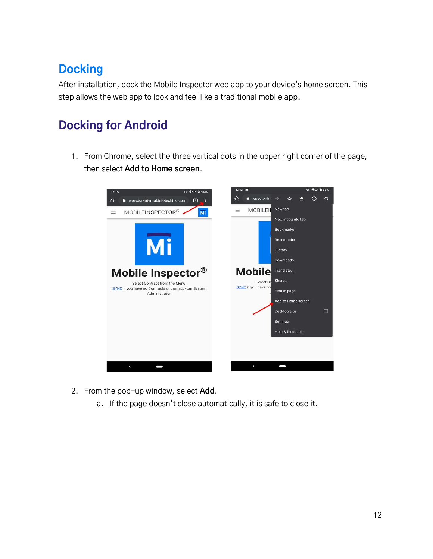### <span id="page-11-0"></span>**Docking**

After installation, dock the Mobile Inspector web app to your device's home screen. This step allows the web app to look and feel like a traditional mobile app.

### <span id="page-11-1"></span>**Docking for Android**

1. From Chrome, select the three vertical dots in the upper right corner of the page, then select **Add to Home screen**.



- 2. From the pop-up window, select **Add**.
	- a. If the page doesn't close automatically, it is safe to close it.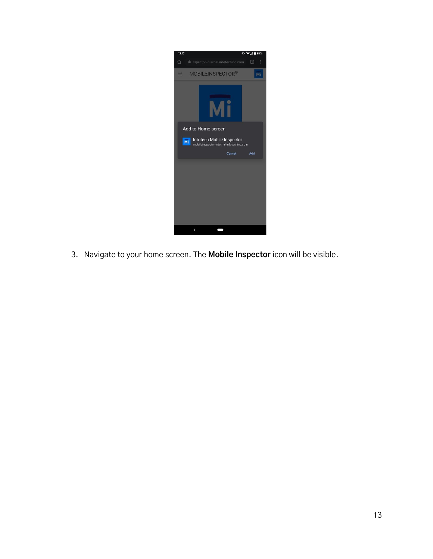

3. Navigate to your home screen. The **Mobile Inspector** icon will be visible.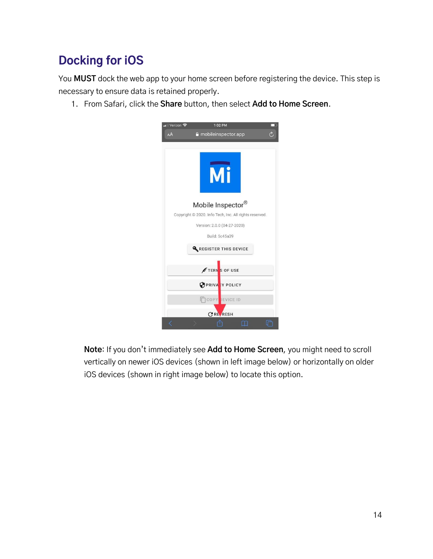### <span id="page-13-0"></span>**Docking for iOS**

You **MUST** dock the web app to your home screen before registering the device. This step is necessary to ensure data is retained properly.

1. From Safari, click the **Share** button, then select **Add to Home Screen**.



**Note**: If you don't immediately see **Add to Home Screen**, you might need to scroll vertically on newer iOS devices (shown in left image below) or horizontally on older iOS devices (shown in right image below) to locate this option.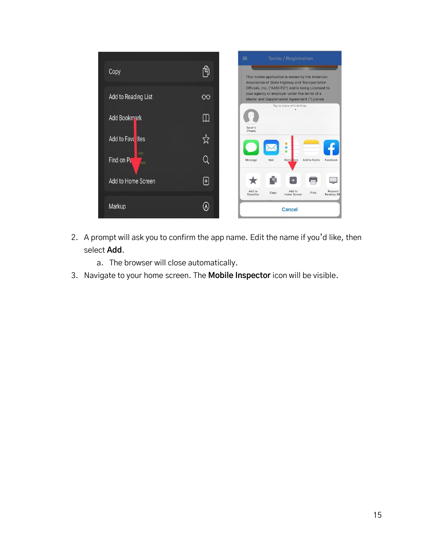

- 2. A prompt will ask you to confirm the app name. Edit the name if you'd like, then select **Add**.
	- a. The browser will close automatically.
- 3. Navigate to your home screen. The **Mobile Inspector** icon will be visible.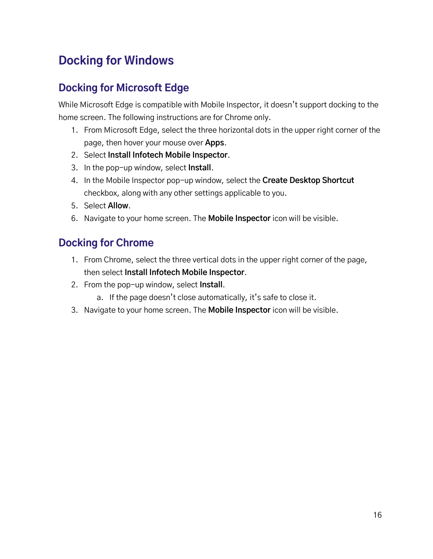### <span id="page-15-0"></span>**Docking for Windows**

### <span id="page-15-1"></span>**Docking for Microsoft Edge**

While Microsoft Edge is compatible with Mobile Inspector, it doesn't support docking to the home screen. The following instructions are for Chrome only.

- 1. From Microsoft Edge, select the three horizontal dots in the upper right corner of the page, then hover your mouse over **Apps**.
- 2. Select **Install Infotech Mobile Inspector**.
- 3. In the pop-up window, select **Install**.
- 4. In the Mobile Inspector pop-up window, select the **Create Desktop Shortcut**  checkbox, along with any other settings applicable to you.
- 5. Select **Allow**.
- 6. Navigate to your home screen. The **Mobile Inspector** icon will be visible.

### <span id="page-15-2"></span>**Docking for Chrome**

- 1. From Chrome, select the three vertical dots in the upper right corner of the page, then select **Install Infotech Mobile Inspector**.
- 2. From the pop-up window, select **Install**.
	- a. If the page doesn't close automatically, it's safe to close it.
- 3. Navigate to your home screen. The **Mobile Inspector** icon will be visible.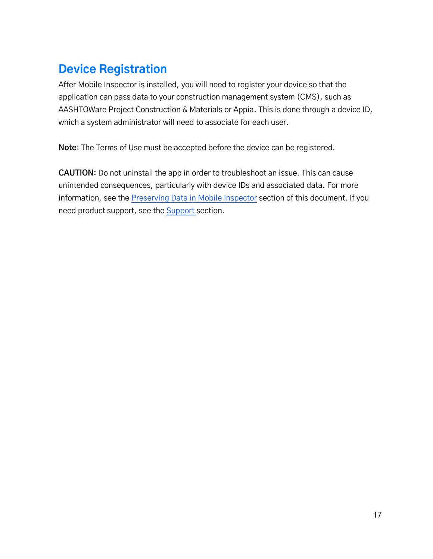### <span id="page-16-0"></span>**Device Registration**

After Mobile Inspector is installed, you will need to register your device so that the application can pass data to your construction management system (CMS), such as AASHTOWare Project Construction & Materials or Appia. This is done through a device ID, which a system administrator will need to associate for each user.

**Note**: The Terms of Use must be accepted before the device can be registered.

**CAUTION**: Do not uninstall the app in order to troubleshoot an issue. This can cause unintended consequences, particularly with device IDs and associated data. For more information, see th[e Preserving Data in Mobile Inspector](#page-34-0) section of this document. If you need product support, see the [Support](#page-35-0) section.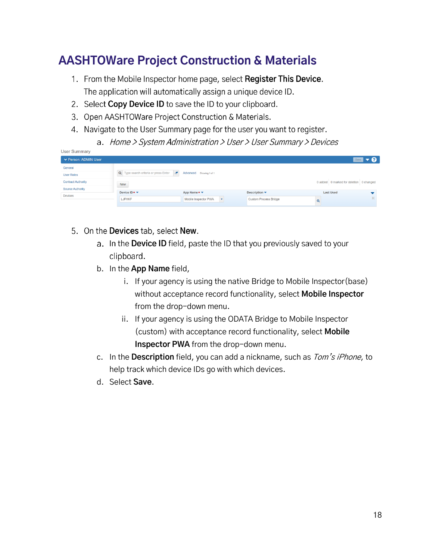### <span id="page-17-0"></span>**AASHTOWare Project Construction & Materials**

- 1. From the Mobile Inspector home page, select Register This Device. The application will automatically assign a unique device ID.
- 2. Select Copy Device ID to save the ID to your clipboard.
- 3. Open AASHTOWare Project Construction & Materials.
- 4. Navigate to the User Summary page for the user you want to register.
	- a. Home > System Administration > User > User Summary > Devices

| User Summary              |                                                                |                                              |                              |                                         |                          |
|---------------------------|----------------------------------------------------------------|----------------------------------------------|------------------------------|-----------------------------------------|--------------------------|
| ▼ Person: ADMIN User      |                                                                |                                              |                              |                                         | Save $\bullet$ $\bullet$ |
| General                   |                                                                |                                              |                              |                                         |                          |
| <b>User Roles</b>         | Q Type search criteria or press Enter<br>$\boldsymbol{\sigma}$ | Advanced Showing 1 of 1                      |                              |                                         |                          |
| <b>Contract Authority</b> | New                                                            |                                              |                              | 0 added 0 marked for deletion 0 changed |                          |
| <b>Source Authority</b>   |                                                                |                                              |                              |                                         |                          |
| <b>Devices</b>            | Device ID* *                                                   | App Name $\star$ $\star$                     | <b>Description ▼</b>         | <b>Last Used</b>                        |                          |
|                           | LJFHKF                                                         | Mobile Inspector PWA<br>$\blacktriangledown$ | <b>Custom Process Bridge</b> | $^{\circ}$                              |                          |
|                           |                                                                |                                              |                              |                                         |                          |

- 5. On the Devices tab, select New.
	- a. In the Device ID field, paste the ID that you previously saved to your clipboard.
	- b. In the **App Name** field,
		- i. If your agency is using the native Bridge to Mobile Inspector(base) without acceptance record functionality, select **Mobile Inspector** from the drop-down menu.
		- ii. If your agency is using the ODATA Bridge to Mobile Inspector (custom) with acceptance record functionality, select **Mobile Inspector PWA** from the drop-down menu.
	- c. In the **Description** field, you can add a nickname, such as Tom's iPhone, to help track which device IDs go with which devices.
	- d. Select **Save**.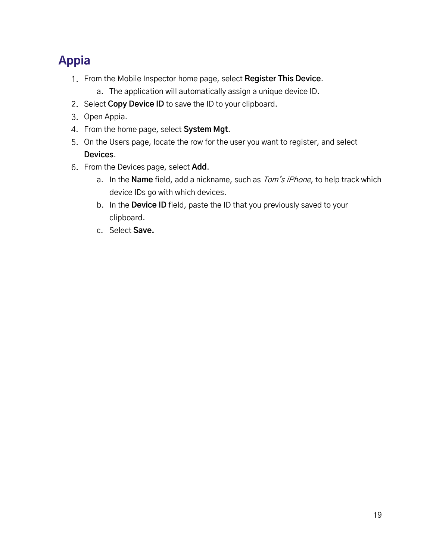### <span id="page-18-0"></span>**Appia**

- From the Mobile Inspector home page, select **Register This Device**.
	- a. The application will automatically assign a unique device ID.
- 2. Select **Copy Device ID** to save the ID to your clipboard.
- 3. Open Appia.
- From the home page, select **System Mgt**.
- 5. On the Users page, locate the row for the user you want to register, and select **Devices**.
- From the Devices page, select **Add**.
	- a. In the **Name** field, add a nickname, such as Tom's iPhone, to help track which device IDs go with which devices.
	- b. In the **Device ID** field, paste the ID that you previously saved to your clipboard.
	- c. Select **Save.**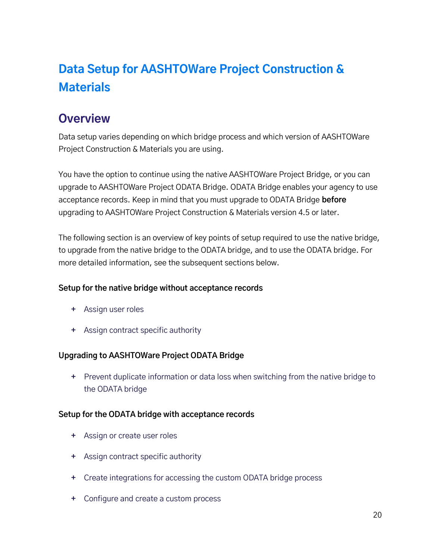### <span id="page-19-0"></span>**Data Setup for AASHTOWare Project Construction & Materials**

### <span id="page-19-1"></span>**Overview**

Data setup varies depending on which bridge process and which version of AASHTOWare Project Construction & Materials you are using.

You have the option to continue using the native AASHTOWare Project Bridge, or you can upgrade to AASHTOWare Project ODATA Bridge. ODATA Bridge enables your agency to use acceptance records. Keep in mind that you must upgrade to ODATA Bridge **before** upgrading to AASHTOWare Project Construction & Materials version 4.5 or later.

The following section is an overview of key points of setup required to use the native bridge, to upgrade from the native bridge to the ODATA bridge, and to use the ODATA bridge. For more detailed information, see the subsequent sections below.

#### **Setup for the native bridge without acceptance records**

- **+** Assign user roles
- **+** Assign contract specific authority

#### **Upgrading to AASHTOWare Project ODATA Bridge**

**+** Prevent duplicate information or data loss when switching from the native bridge to the ODATA bridge

#### **Setup for the ODATA bridge with acceptance records**

- **+** Assign or create user roles
- **+** Assign contract specific authority
- **+** Create integrations for accessing the custom ODATA bridge process
- **+** Configure and create a custom process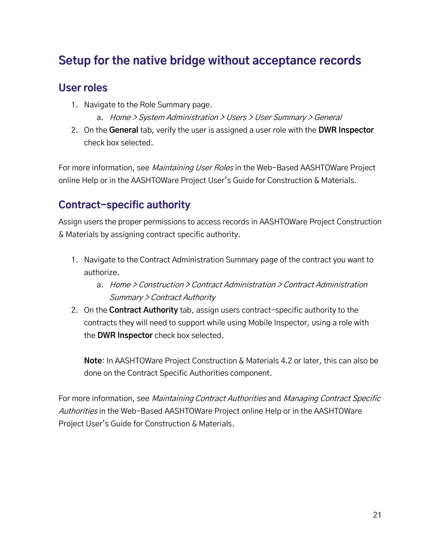### <span id="page-20-0"></span>**Setup for the native bridge without acceptance records**

#### <span id="page-20-1"></span>**User roles**

- 1. Navigate to the Role Summary page.
	- a. Home > System Administration > Users > User Summary > General
- 2. On the **General** tab, verify the user is assigned a user role with the **DWR Inspector** check box selected.

For more information, see *Maintaining User Roles* in the Web-Based AASHTOWare Project online Help or in the AASHTOWare Project User's Guide for Construction & Materials.

### <span id="page-20-2"></span>**Contract-specific authority**

Assign users the proper permissions to access records in AASHTOWare Project Construction & Materials by assigning contract specific authority.

- 1. Navigate to the Contract Administration Summary page of the contract you want to authorize.
	- a. Home > Construction > Contract Administration > Contract Administration Summary > Contract Authority
- 2. On the **Contract Authority** tab, assign users contract-specific authority to the contracts they will need to support while using Mobile Inspector, using a role with the **DWR Inspector** check box selected.

**Note**: In AASHTOWare Project Construction & Materials 4.2 or later, this can also be done on the Contract Specific Authorities component.

For more information, see Maintaining Contract Authorities and Managing Contract Specific Authorities in the Web-Based AASHTOWare Project online Help or in the AASHTOWare Project User's Guide for Construction & Materials.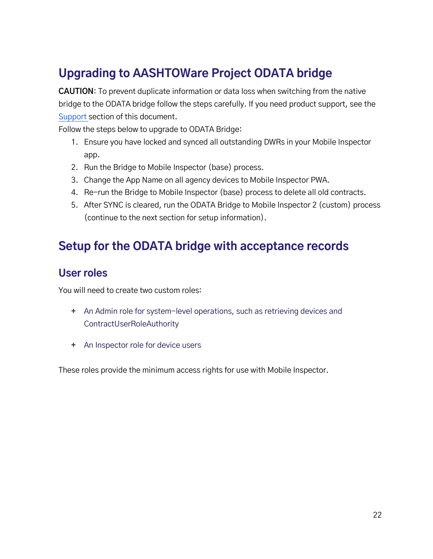### <span id="page-21-0"></span>**Upgrading to AASHTOWare Project ODATA bridge**

**CAUTION**: To prevent duplicate information or data loss when switching from the native bridge to the ODATA bridge follow the steps carefully. If you need product support, see the [Support](#page-35-0) section of this document.

Follow the steps below to upgrade to ODATA Bridge:

- 1. Ensure you have locked and synced all outstanding DWRs in your Mobile Inspector app.
- 2. Run the Bridge to Mobile Inspector (base) process.
- 3. Change the App Name on all agency devices to Mobile Inspector PWA.
- 4. Re-run the Bridge to Mobile Inspector (base) process to delete all old contracts.
- 5. After SYNC is cleared, run the ODATA Bridge to Mobile Inspector 2 (custom) process (continue to the next section for setup information).

### <span id="page-21-1"></span>**Setup for the ODATA bridge with acceptance records**

#### <span id="page-21-2"></span>**User roles**

You will need to create two custom roles:

- **+** An Admin role for system-level operations, such as retrieving devices and ContractUserRoleAuthority
- **+** An Inspector role for device users

These roles provide the minimum access rights for use with Mobile Inspector.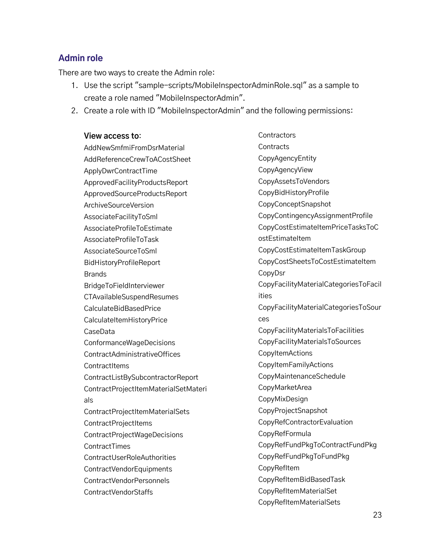#### **Admin role**

There are two ways to create the Admin role:

- 1. Use the script "sample-scripts/MobileInspectorAdminRole.sql" as a sample to create a role named "MobileInspectorAdmin".
- 2. Create a role with ID "MobileInspectorAdmin" and the following permissions:

**View access to**: AddNewSmfmiFromDsrMaterial AddReferenceCrewToACostSheet ApplyDwrContractTime ApprovedFacilityProductsReport ApprovedSourceProductsReport ArchiveSourceVersion AssociateFacilityToSml AssociateProfileToEstimate AssociateProfileToTask AssociateSourceToSml BidHistoryProfileReport Brands BridgeToFieldInterviewer CTAvailableSuspendResumes CalculateBidBasedPrice **CalculateItemHistoryPrice** CaseData ConformanceWageDecisions ContractAdministrativeOffices **ContractItems** ContractListBySubcontractorReport ContractProjectItemMaterialSetMateri als ContractProjectItemMaterialSets ContractProjectItems ContractProjectWageDecisions **ContractTimes** ContractUserRoleAuthorities ContractVendorEquipments ContractVendorPersonnels ContractVendorStaffs

**Contractors Contracts** CopyAgencyEntity CopyAgencyView CopyAssetsToVendors CopyBidHistoryProfile CopyConceptSnapshot CopyContingencyAssignmentProfile CopyCostEstimateItemPriceTasksToC ostEstimateItem CopyCostEstimateItemTaskGroup CopyCostSheetsToCostEstimateItem CopyDsr CopyFacilityMaterialCategoriesToFacil ities CopyFacilityMaterialCategoriesToSour ces CopyFacilityMaterialsToFacilities CopyFacilityMaterialsToSources **CopyItemActions** CopyItemFamilyActions CopyMaintenanceSchedule CopyMarketArea CopyMixDesign CopyProjectSnapshot CopyRefContractorEvaluation CopyRefFormula CopyRefFundPkgToContractFundPkg CopyRefFundPkgToFundPkg CopyRefItem CopyRefItemBidBasedTask CopyRefItemMaterialSet CopyRefItemMaterialSets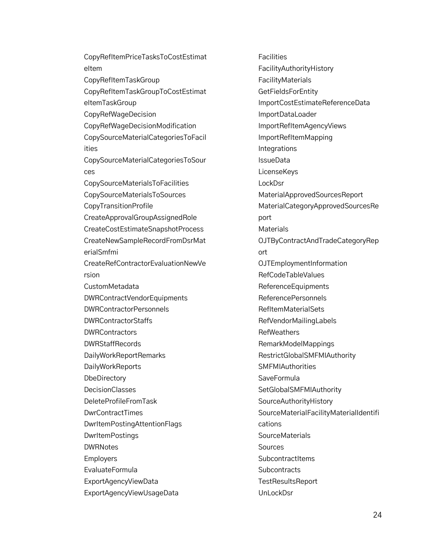CopyRefItemPriceTasksToCostEstimat eItem CopyRefItemTaskGroup CopyRefItemTaskGroupToCostEstimat eItemTaskGroup CopyRefWageDecision CopyRefWageDecisionModification CopySourceMaterialCategoriesToFacil ities CopySourceMaterialCategoriesToSour ces CopySourceMaterialsToFacilities CopySourceMaterialsToSources CopyTransitionProfile CreateApprovalGroupAssignedRole CreateCostEstimateSnapshotProcess CreateNewSampleRecordFromDsrMat erialSmfmi CreateRefContractorEvaluationNewVe rsion CustomMetadata DWRContractVendorEquipments DWRContractorPersonnels DWRContractorStaffs DWRContractors DWRStaffRecords DailyWorkReportRemarks DailyWorkReports **DbeDirectory** DecisionClasses DeleteProfileFromTask DwrContractTimes DwrItemPostingAttentionFlags **DwrItemPostings** DWRNotes Employers EvaluateFormula ExportAgencyViewData ExportAgencyViewUsageData

**Facilities** FacilityAuthorityHistory FacilityMaterials **GetFieldsForEntity** ImportCostEstimateReferenceData ImportDataLoader ImportRefItemAgencyViews ImportRefItemMapping Integrations **IssueData LicenseKeys LockDsr** MaterialApprovedSourcesReport MaterialCategoryApprovedSourcesRe port **Materials** OJTByContractAndTradeCategoryRep ort OJTEmploymentInformation RefCodeTableValues ReferenceEquipments ReferencePersonnels RefItemMaterialSets RefVendorMailingLabels RefWeathers RemarkModelMappings RestrictGlobalSMFMIAuthority **SMFMIAuthorities** SaveFormula SetGlobalSMFMIAuthority SourceAuthorityHistory SourceMaterialFacilityMaterialIdentifi cations **SourceMaterials** Sources **SubcontractItems Subcontracts TestResultsReport** UnLockDsr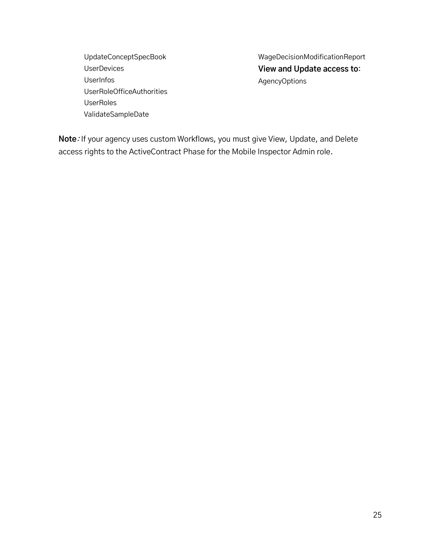UpdateConceptSpecBook UserDevices UserInfos UserRoleOfficeAuthorities UserRoles ValidateSampleDate

WageDecisionModificationReport **View and Update access to**: AgencyOptions

**Note**: If your agency uses custom Workflows, you must give View, Update, and Delete access rights to the ActiveContract Phase for the Mobile Inspector Admin role.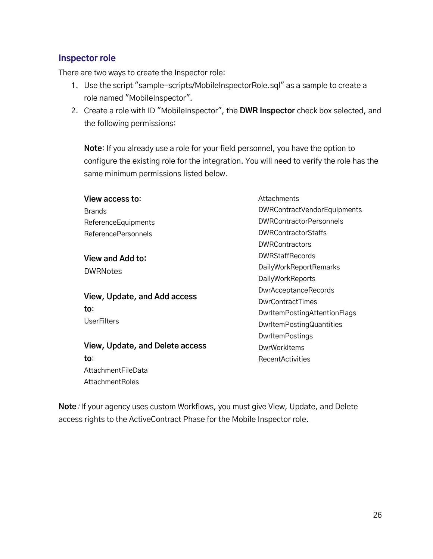#### **Inspector role**

There are two ways to create the Inspector role:

- 1. Use the script "sample-scripts/MobileInspectorRole.sql" as a sample to create a role named "MobileInspector".
- 2. Create a role with ID "MobileInspector", the **DWR Inspector** check box selected, and the following permissions:

**Note**: If you already use a role for your field personnel, you have the option to configure the existing role for the integration. You will need to verify the role has the same minimum permissions listed below.

| View access to:                 | Attachments                    |  |
|---------------------------------|--------------------------------|--|
| <b>Brands</b>                   | DWRContractVendorEquipments    |  |
| ReferenceEquipments             | <b>DWRContractorPersonnels</b> |  |
| <b>ReferencePersonnels</b>      | <b>DWRContractorStaffs</b>     |  |
|                                 | <b>DWRContractors</b>          |  |
| View and Add to:                | <b>DWRStaffRecords</b>         |  |
| <b>DWRNotes</b>                 | <b>DailyWorkReportRemarks</b>  |  |
|                                 | DailyWorkReports               |  |
|                                 | <b>DwrAcceptanceRecords</b>    |  |
| View, Update, and Add access    | DwrContractTimes               |  |
| to:                             | DwrltemPostingAttentionFlags   |  |
| <b>UserFilters</b>              | DwrltemPostingQuantities       |  |
|                                 | DwrltemPostings                |  |
| View, Update, and Delete access | DwrWorkItems                   |  |
| to:                             | <b>RecentActivities</b>        |  |
| AttachmentFileData              |                                |  |

AttachmentRoles

**Note**: If your agency uses custom Workflows, you must give View, Update, and Delete access rights to the ActiveContract Phase for the Mobile Inspector role.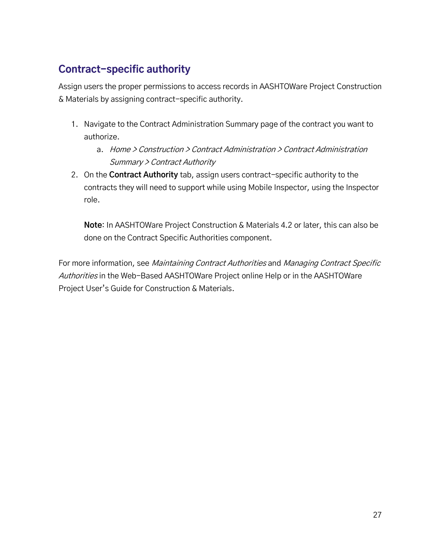### <span id="page-26-0"></span>**Contract-specific authority**

Assign users the proper permissions to access records in AASHTOWare Project Construction & Materials by assigning contract-specific authority.

- 1. Navigate to the Contract Administration Summary page of the contract you want to authorize.
	- a. Home > Construction > Contract Administration > Contract Administration Summary > Contract Authority
- 2. On the **Contract Authority** tab, assign users contract-specific authority to the contracts they will need to support while using Mobile Inspector, using the Inspector role.

**Note**: In AASHTOWare Project Construction & Materials 4.2 or later, this can also be done on the Contract Specific Authorities component.

For more information, see Maintaining Contract Authorities and Managing Contract Specific Authorities in the Web-Based AASHTOWare Project online Help or in the AASHTOWare Project User's Guide for Construction & Materials.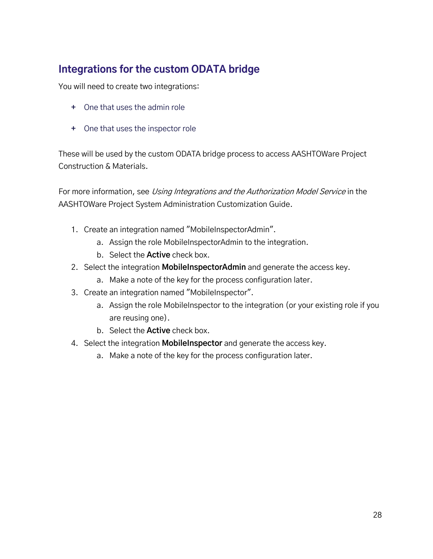### <span id="page-27-0"></span>**Integrations for the custom ODATA bridge**

You will need to create two integrations:

- **+** One that uses the admin role
- **+** One that uses the inspector role

These will be used by the custom ODATA bridge process to access AASHTOWare Project Construction & Materials.

For more information, see Using Integrations and the Authorization Model Service in the AASHTOWare Project System Administration Customization Guide.

- 1. Create an integration named "MobileInspectorAdmin".
	- a. Assign the role MobileInspectorAdmin to the integration.
	- b. Select the **Active** check box.
- 2. Select the integration **MobileInspectorAdmin** and generate the access key.
	- a. Make a note of the key for the process configuration later.
- 3. Create an integration named "MobileInspector".
	- a. Assign the role MobileInspector to the integration (or your existing role if you are reusing one).
	- b. Select the **Active** check box.
- 4. Select the integration **MobileInspector** and generate the access key.
	- a. Make a note of the key for the process configuration later.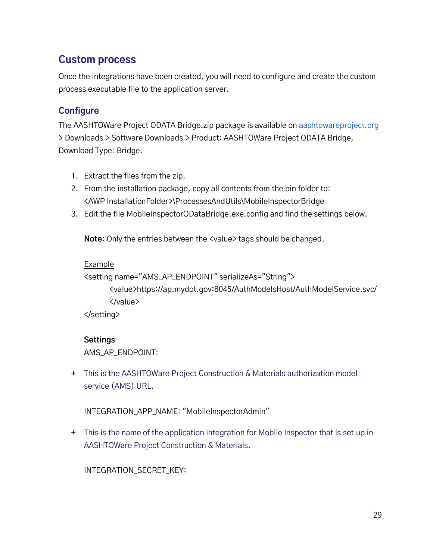#### <span id="page-28-0"></span>**Custom process**

Once the integrations have been created, you will need to configure and create the custom process executable file to the application server.

#### **Configure**

The AASHTOWare Project ODATA Bridge.zip package is available o[n aashtowareproject.org](https://www.aashtowareproject.org/) > Downloads > Software Downloads > Product: AASHTOWare Project ODATA Bridge, Download Type: Bridge.

- 1. Extract the files from the zip.
- 2. From the installation package, copy all contents from the bin folder to: <AWP InstallationFolder>\ProcessesAndUtils\MobileInspectorBridge
- 3. Edit the file MobileInspectorODataBridge.exe.config and find the settings below.

**Note:** Only the entries between the <value> tags should be changed.

#### Example

```
<setting name="AMS_AP_ENDPOINT" serializeAs="String">
```
<value>https://ap.mydot.gov:8045/AuthModelsHost/AuthModelService.svc/ </value>

</setting>

#### **Settings**

AMS\_AP\_ENDPOINT:

**+** This is the AASHTOWare Project Construction & Materials authorization model service (AMS) URL.

INTEGRATION\_APP\_NAME: "MobileInspectorAdmin"

**+** This is the name of the application integration for Mobile Inspector that is set up in AASHTOWare Project Construction & Materials.

INTEGRATION\_SECRET\_KEY: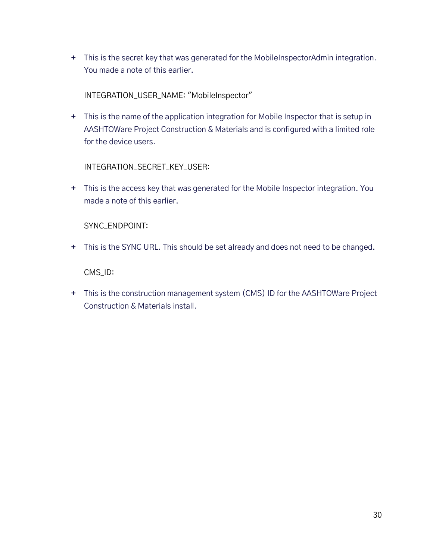**+** This is the secret key that was generated for the MobileInspectorAdmin integration. You made a note of this earlier.

INTEGRATION\_USER\_NAME: "MobileInspector"

**+** This is the name of the application integration for Mobile Inspector that is setup in AASHTOWare Project Construction & Materials and is configured with a limited role for the device users.

INTEGRATION\_SECRET\_KEY\_USER:

**+** This is the access key that was generated for the Mobile Inspector integration. You made a note of this earlier.

SYNC\_ENDPOINT:

**+** This is the SYNC URL. This should be set already and does not need to be changed.

CMS\_ID:

**+** This is the construction management system (CMS) ID for the AASHTOWare Project Construction & Materials install.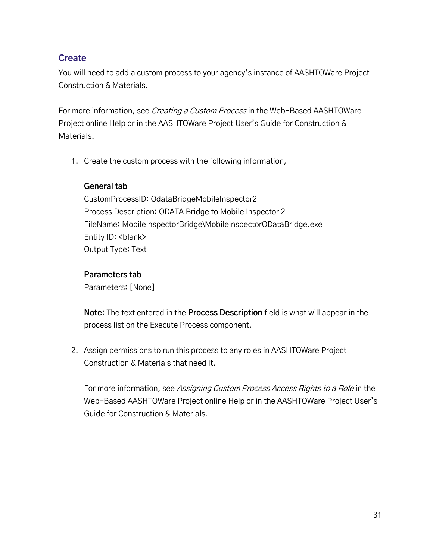#### **Create**

You will need to add a custom process to your agency's instance of AASHTOWare Project Construction & Materials.

For more information, see *Creating a Custom Process* in the Web-Based AASHTOWare Project online Help or in the AASHTOWare Project User's Guide for Construction & Materials.

1. Create the custom process with the following information,

#### **General tab**

CustomProcessID: OdataBridgeMobileInspector2 Process Description: ODATA Bridge to Mobile Inspector 2 FileName: MobileInspectorBridge\MobileInspectorODataBridge.exe Entity ID: <br/>blank> Output Type: Text

#### **Parameters tab**

Parameters: [None]

**Note**: The text entered in the **Process Description** field is what will appear in the process list on the Execute Process component.

2. Assign permissions to run this process to any roles in AASHTOWare Project Construction & Materials that need it.

For more information, see Assigning Custom Process Access Rights to a Role in the Web-Based AASHTOWare Project online Help or in the AASHTOWare Project User's Guide for Construction & Materials.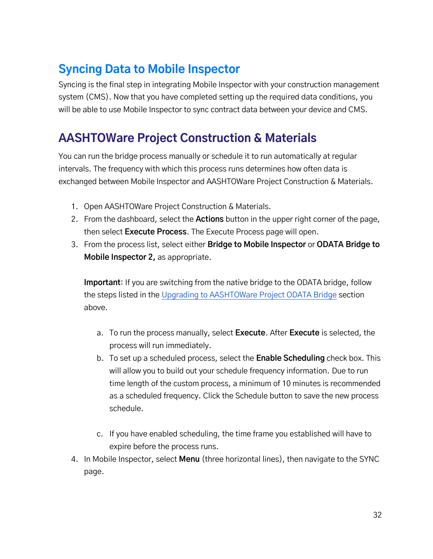### <span id="page-31-0"></span>**Syncing Data to Mobile Inspector**

Syncing is the final step in integrating Mobile Inspector with your construction management system (CMS). Now that you have completed setting up the required data conditions, you will be able to use Mobile Inspector to sync contract data between your device and CMS.

### <span id="page-31-1"></span>**AASHTOWare Project Construction & Materials**

You can run the bridge process manually or schedule it to run automatically at regular intervals. The frequency with which this process runs determines how often data is exchanged between Mobile Inspector and AASHTOWare Project Construction & Materials.

- 1. Open AASHTOWare Project Construction & Materials.
- 2. From the dashboard, select the **Actions** button in the upper right corner of the page, then select **Execute Process**. The Execute Process page will open.
- 3. From the process list, select either **Bridge to Mobile Inspector** or **ODATA Bridge to Mobile Inspector 2,** as appropriate.

**Important**: If you are switching from the native bridge to the ODATA bridge, follow the steps listed in the [Upgrading to AASHTOWare Project ODATA Bridge](#page-21-0) section above.

- a. To run the process manually, select **Execute**. After **Execute** is selected, the process will run immediately.
- b. To set up a scheduled process, select the **Enable Scheduling** check box. This will allow you to build out your schedule frequency information. Due to run time length of the custom process, a minimum of 10 minutes is recommended as a scheduled frequency. Click the Schedule button to save the new process schedule.
- c. If you have enabled scheduling, the time frame you established will have to expire before the process runs.
- 4. In Mobile Inspector, select **Menu** (three horizontal lines), then navigate to the SYNC page.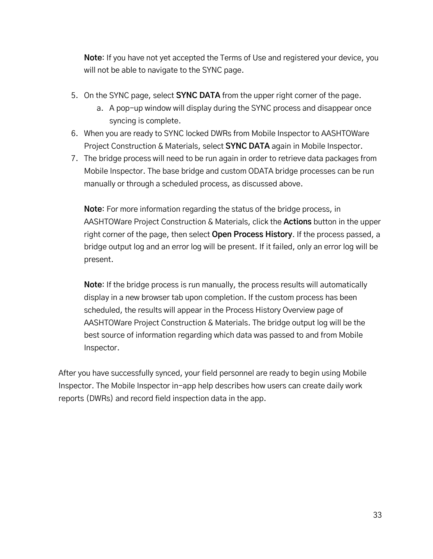**Note**: If you have not yet accepted the Terms of Use and registered your device, you will not be able to navigate to the SYNC page.

- 5. On the SYNC page, select **SYNC DATA** from the upper right corner of the page.
	- a. A pop-up window will display during the SYNC process and disappear once syncing is complete.
- 6. When you are ready to SYNC locked DWRs from Mobile Inspector to AASHTOWare Project Construction & Materials, select **SYNC DATA** again in Mobile Inspector.
- 7. The bridge process will need to be run again in order to retrieve data packages from Mobile Inspector. The base bridge and custom ODATA bridge processes can be run manually or through a scheduled process, as discussed above.

**Note**: For more information regarding the status of the bridge process, in AASHTOWare Project Construction & Materials, click the **Actions** button in the upper right corner of the page, then select **Open Process History**. If the process passed, a bridge output log and an error log will be present. If it failed, only an error log will be present.

**Note**: If the bridge process is run manually, the process results will automatically display in a new browser tab upon completion. If the custom process has been scheduled, the results will appear in the Process History Overview page of AASHTOWare Project Construction & Materials. The bridge output log will be the best source of information regarding which data was passed to and from Mobile Inspector.

After you have successfully synced, your field personnel are ready to begin using Mobile Inspector. The Mobile Inspector in-app help describes how users can create daily work reports (DWRs) and record field inspection data in the app.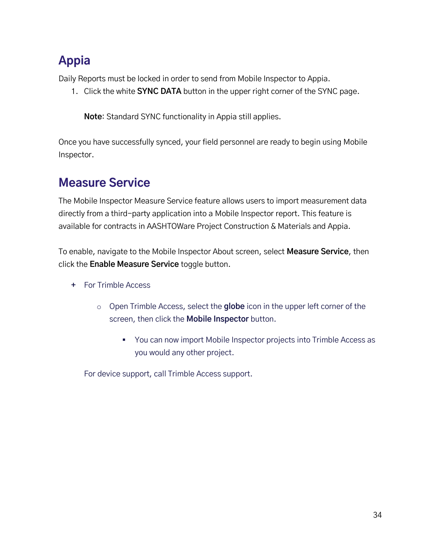### <span id="page-33-0"></span>**Appia**

Daily Reports must be locked in order to send from Mobile Inspector to Appia.

1. Click the white **SYNC DATA** button in the upper right corner of the SYNC page.

**Note**: Standard SYNC functionality in Appia still applies.

Once you have successfully synced, your field personnel are ready to begin using Mobile Inspector.

### <span id="page-33-1"></span>**Measure Service**

The Mobile Inspector Measure Service feature allows users to import measurement data directly from a third-party application into a Mobile Inspector report. This feature is available for contracts in AASHTOWare Project Construction & Materials and Appia.

To enable, navigate to the Mobile Inspector About screen, select **Measure Service**, then click the **Enable Measure Service** toggle button.

- **+** For Trimble Access
	- o Open Trimble Access, select the **globe** icon in the upper left corner of the screen, then click the **Mobile Inspector** button.
		- You can now import Mobile Inspector projects into Trimble Access as you would any other project.

For device support, call Trimble Access support.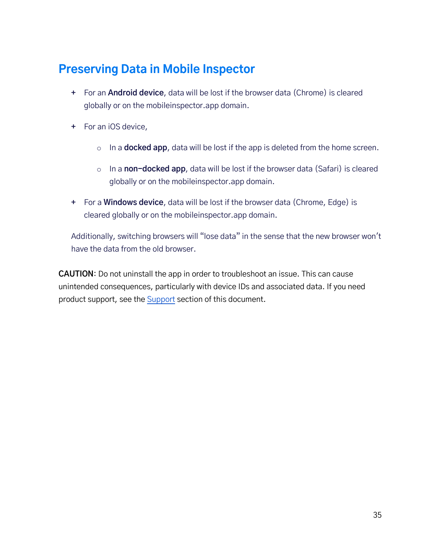### <span id="page-34-0"></span>**Preserving Data in Mobile Inspector**

- **+** For an **Android device**, data will be lost if the browser data (Chrome) is cleared globally or on the mobileinspector.app domain.
- **+** For an iOS device,
	- o In a **docked app**, data will be lost if the app is deleted from the home screen.
	- o In a **non-docked app**, data will be lost if the browser data (Safari) is cleared globally or on the mobileinspector.app domain.
- **+** For a **Windows device**, data will be lost if the browser data (Chrome, Edge) is cleared globally or on the mobileinspector.app domain.

Additionally, switching browsers will "lose data" in the sense that the new browser won't have the data from the old browser.

**CAUTION**: Do not uninstall the app in order to troubleshoot an issue. This can cause unintended consequences, particularly with device IDs and associated data. If you need product support, see the [Support](#page-35-0) section of this document.